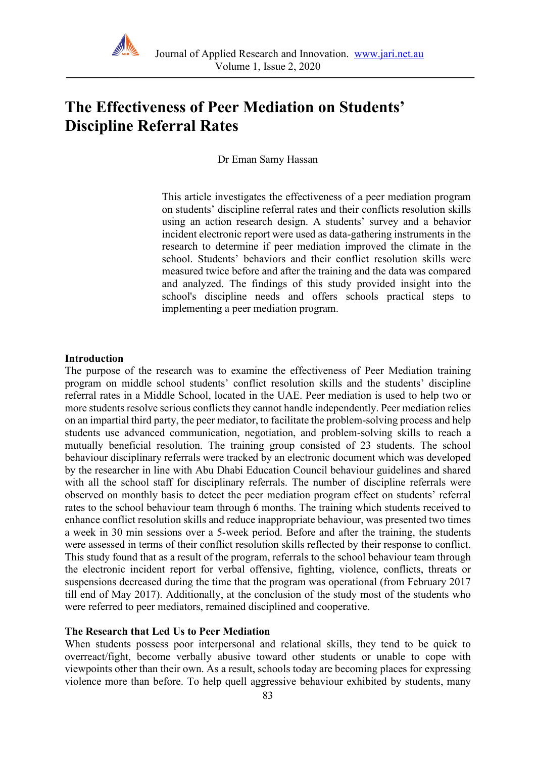

# **The Effectiveness of Peer Mediation on Students' Discipline Referral Rates**

Dr Eman Samy Hassan

This article investigates the effectiveness of a peer mediation program on students' discipline referral rates and their conflicts resolution skills using an action research design. A students' survey and a behavior incident electronic report were used as data-gathering instruments in the research to determine if peer mediation improved the climate in the school. Students' behaviors and their conflict resolution skills were measured twice before and after the training and the data was compared and analyzed. The findings of this study provided insight into the school's discipline needs and offers schools practical steps to implementing a peer mediation program.

#### **Introduction**

The purpose of the research was to examine the effectiveness of Peer Mediation training program on middle school students' conflict resolution skills and the students' discipline referral rates in a Middle School, located in the UAE. Peer mediation is used to help two or more students resolve serious conflicts they cannot handle independently. Peer mediation relies on an impartial third party, the peer mediator, to facilitate the problem-solving process and help students use advanced communication, negotiation, and problem-solving skills to reach a mutually beneficial resolution. The training group consisted of 23 students. The school behaviour disciplinary referrals were tracked by an electronic document which was developed by the researcher in line with Abu Dhabi Education Council behaviour guidelines and shared with all the school staff for disciplinary referrals. The number of discipline referrals were observed on monthly basis to detect the peer mediation program effect on students' referral rates to the school behaviour team through 6 months. The training which students received to enhance conflict resolution skills and reduce inappropriate behaviour, was presented two times a week in 30 min sessions over a 5-week period. Before and after the training, the students were assessed in terms of their conflict resolution skills reflected by their response to conflict. This study found that as a result of the program, referrals to the school behaviour team through the electronic incident report for verbal offensive, fighting, violence, conflicts, threats or suspensions decreased during the time that the program was operational (from February 2017 till end of May 2017). Additionally, at the conclusion of the study most of the students who were referred to peer mediators, remained disciplined and cooperative.

#### **The Research that Led Us to Peer Mediation**

When students possess poor interpersonal and relational skills, they tend to be quick to overreact/fight, become verbally abusive toward other students or unable to cope with viewpoints other than their own. As a result, schools today are becoming places for expressing violence more than before. To help quell aggressive behaviour exhibited by students, many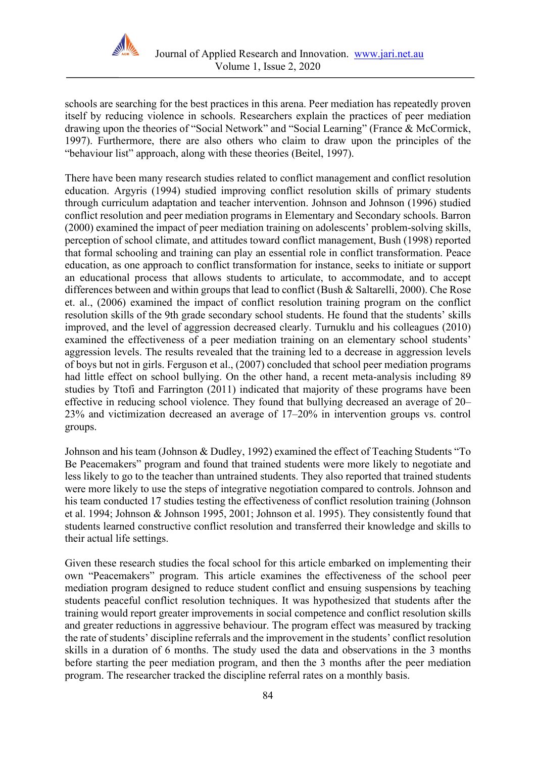

schools are searching for the best practices in this arena. Peer mediation has repeatedly proven itself by reducing violence in schools. Researchers explain the practices of peer mediation drawing upon the theories of "Social Network" and "Social Learning" (France & McCormick, 1997). Furthermore, there are also others who claim to draw upon the principles of the "behaviour list" approach, along with these theories (Beitel, 1997).

There have been many research studies related to conflict management and conflict resolution education. Argyris (1994) studied improving conflict resolution skills of primary students through curriculum adaptation and teacher intervention. Johnson and Johnson (1996) studied conflict resolution and peer mediation programs in Elementary and Secondary schools. Barron (2000) examined the impact of peer mediation training on adolescents' problem-solving skills, perception of school climate, and attitudes toward conflict management, Bush (1998) reported that formal schooling and training can play an essential role in conflict transformation. Peace education, as one approach to conflict transformation for instance, seeks to initiate or support an educational process that allows students to articulate, to accommodate, and to accept differences between and within groups that lead to conflict (Bush & Saltarelli, 2000). Che Rose et. al., (2006) examined the impact of conflict resolution training program on the conflict resolution skills of the 9th grade secondary school students. He found that the students' skills improved, and the level of aggression decreased clearly. Turnuklu and his colleagues (2010) examined the effectiveness of a peer mediation training on an elementary school students' aggression levels. The results revealed that the training led to a decrease in aggression levels of boys but not in girls. Ferguson et al., (2007) concluded that school peer mediation programs had little effect on school bullying. On the other hand, a recent meta-analysis including 89 studies by Ttofi and Farrington (2011) indicated that majority of these programs have been effective in reducing school violence. They found that bullying decreased an average of 20– 23% and victimization decreased an average of 17–20% in intervention groups vs. control groups.

Johnson and his team (Johnson & Dudley, 1992) examined the effect of Teaching Students "To Be Peacemakers" program and found that trained students were more likely to negotiate and less likely to go to the teacher than untrained students. They also reported that trained students were more likely to use the steps of integrative negotiation compared to controls. Johnson and his team conducted 17 studies testing the effectiveness of conflict resolution training (Johnson et al. 1994; Johnson & Johnson 1995, 2001; Johnson et al. 1995). They consistently found that students learned constructive conflict resolution and transferred their knowledge and skills to their actual life settings.

Given these research studies the focal school for this article embarked on implementing their own "Peacemakers" program. This article examines the effectiveness of the school peer mediation program designed to reduce student conflict and ensuing suspensions by teaching students peaceful conflict resolution techniques. It was hypothesized that students after the training would report greater improvements in social competence and conflict resolution skills and greater reductions in aggressive behaviour. The program effect was measured by tracking the rate of students' discipline referrals and the improvement in the students' conflict resolution skills in a duration of 6 months. The study used the data and observations in the 3 months before starting the peer mediation program, and then the 3 months after the peer mediation program. The researcher tracked the discipline referral rates on a monthly basis.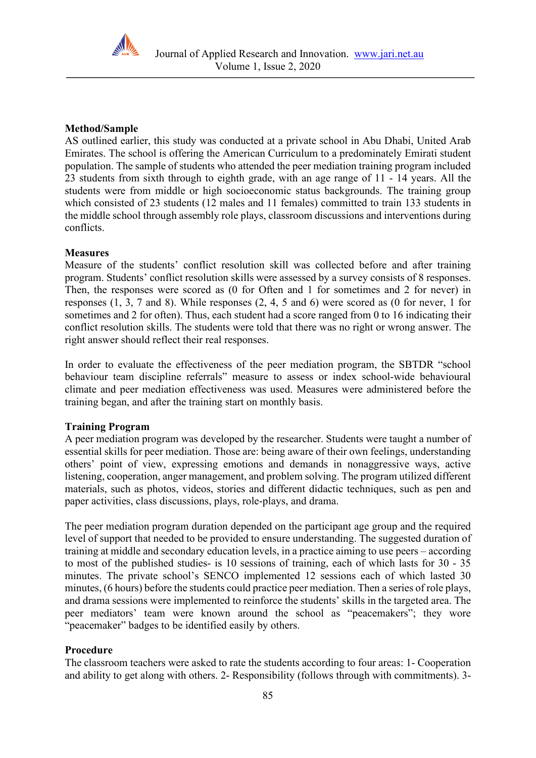

## **Method/Sample**

AS outlined earlier, this study was conducted at a private school in Abu Dhabi, United Arab Emirates. The school is offering the American Curriculum to a predominately Emirati student population. The sample of students who attended the peer mediation training program included 23 students from sixth through to eighth grade, with an age range of 11 - 14 years. All the students were from middle or high socioeconomic status backgrounds. The training group which consisted of 23 students (12 males and 11 females) committed to train 133 students in the middle school through assembly role plays, classroom discussions and interventions during conflicts.

## **Measures**

Measure of the students' conflict resolution skill was collected before and after training program. Students' conflict resolution skills were assessed by a survey consists of 8 responses. Then, the responses were scored as (0 for Often and 1 for sometimes and 2 for never) in responses (1, 3, 7 and 8). While responses (2, 4, 5 and 6) were scored as (0 for never, 1 for sometimes and 2 for often). Thus, each student had a score ranged from 0 to 16 indicating their conflict resolution skills. The students were told that there was no right or wrong answer. The right answer should reflect their real responses.

In order to evaluate the effectiveness of the peer mediation program, the SBTDR "school behaviour team discipline referrals" measure to assess or index school-wide behavioural climate and peer mediation effectiveness was used. Measures were administered before the training began, and after the training start on monthly basis.

# **Training Program**

A peer mediation program was developed by the researcher. Students were taught a number of essential skills for peer mediation. Those are: being aware of their own feelings, understanding others' point of view, expressing emotions and demands in nonaggressive ways, active listening, cooperation, anger management, and problem solving. The program utilized different materials, such as photos, videos, stories and different didactic techniques, such as pen and paper activities, class discussions, plays, role-plays, and drama.

The peer mediation program duration depended on the participant age group and the required level of support that needed to be provided to ensure understanding. The suggested duration of training at middle and secondary education levels, in a practice aiming to use peers – according to most of the published studies- is 10 sessions of training, each of which lasts for 30 - 35 minutes. The private school's SENCO implemented 12 sessions each of which lasted 30 minutes, (6 hours) before the students could practice peer mediation. Then a series of role plays, and drama sessions were implemented to reinforce the students' skills in the targeted area. The peer mediators' team were known around the school as "peacemakers"; they wore "peacemaker" badges to be identified easily by others.

# **Procedure**

The classroom teachers were asked to rate the students according to four areas: 1- Cooperation and ability to get along with others. 2- Responsibility (follows through with commitments). 3-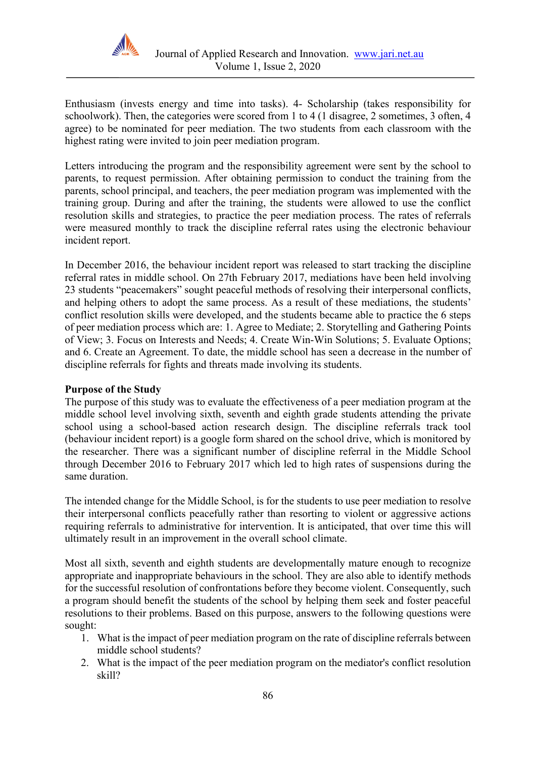

Enthusiasm (invests energy and time into tasks). 4- Scholarship (takes responsibility for schoolwork). Then, the categories were scored from 1 to 4 (1 disagree, 2 sometimes, 3 often, 4 agree) to be nominated for peer mediation. The two students from each classroom with the highest rating were invited to join peer mediation program.

Letters introducing the program and the responsibility agreement were sent by the school to parents, to request permission. After obtaining permission to conduct the training from the parents, school principal, and teachers, the peer mediation program was implemented with the training group. During and after the training, the students were allowed to use the conflict resolution skills and strategies, to practice the peer mediation process. The rates of referrals were measured monthly to track the discipline referral rates using the electronic behaviour incident report.

In December 2016, the behaviour incident report was released to start tracking the discipline referral rates in middle school. On 27th February 2017, mediations have been held involving 23 students "peacemakers" sought peaceful methods of resolving their interpersonal conflicts, and helping others to adopt the same process. As a result of these mediations, the students' conflict resolution skills were developed, and the students became able to practice the 6 steps of peer mediation process which are: 1. Agree to Mediate; 2. Storytelling and Gathering Points of View; 3. Focus on Interests and Needs; 4. Create Win-Win Solutions; 5. Evaluate Options; and 6. Create an Agreement. To date, the middle school has seen a decrease in the number of discipline referrals for fights and threats made involving its students.

# **Purpose of the Study**

The purpose of this study was to evaluate the effectiveness of a peer mediation program at the middle school level involving sixth, seventh and eighth grade students attending the private school using a school-based action research design. The discipline referrals track tool (behaviour incident report) is a google form shared on the school drive, which is monitored by the researcher. There was a significant number of discipline referral in the Middle School through December 2016 to February 2017 which led to high rates of suspensions during the same duration.

The intended change for the Middle School, is for the students to use peer mediation to resolve their interpersonal conflicts peacefully rather than resorting to violent or aggressive actions requiring referrals to administrative for intervention. It is anticipated, that over time this will ultimately result in an improvement in the overall school climate.

Most all sixth, seventh and eighth students are developmentally mature enough to recognize appropriate and inappropriate behaviours in the school. They are also able to identify methods for the successful resolution of confrontations before they become violent. Consequently, such a program should benefit the students of the school by helping them seek and foster peaceful resolutions to their problems. Based on this purpose, answers to the following questions were sought:

- 1. What is the impact of peer mediation program on the rate of discipline referrals between middle school students?
- 2. What is the impact of the peer mediation program on the mediator's conflict resolution skill?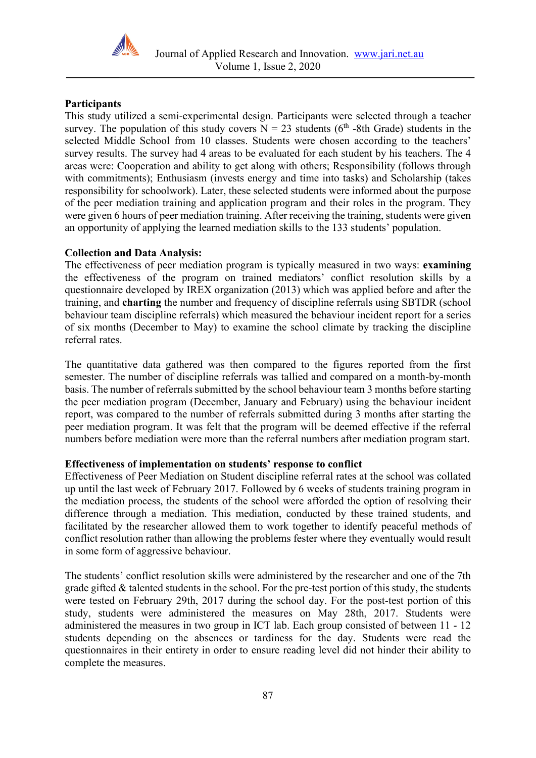

# **Participants**

This study utilized a semi-experimental design. Participants were selected through a teacher survey. The population of this study covers  $N = 23$  students (6<sup>th</sup> -8th Grade) students in the selected Middle School from 10 classes. Students were chosen according to the teachers' survey results. The survey had 4 areas to be evaluated for each student by his teachers. The 4 areas were: Cooperation and ability to get along with others; Responsibility (follows through with commitments); Enthusiasm (invests energy and time into tasks) and Scholarship (takes responsibility for schoolwork). Later, these selected students were informed about the purpose of the peer mediation training and application program and their roles in the program. They were given 6 hours of peer mediation training. After receiving the training, students were given an opportunity of applying the learned mediation skills to the 133 students' population.

## **Collection and Data Analysis:**

The effectiveness of peer mediation program is typically measured in two ways: **examining** the effectiveness of the program on trained mediators' conflict resolution skills by a questionnaire developed by IREX organization (2013) which was applied before and after the training, and **charting** the number and frequency of discipline referrals using SBTDR (school behaviour team discipline referrals) which measured the behaviour incident report for a series of six months (December to May) to examine the school climate by tracking the discipline referral rates.

The quantitative data gathered was then compared to the figures reported from the first semester. The number of discipline referrals was tallied and compared on a month-by-month basis. The number of referrals submitted by the school behaviour team 3 months before starting the peer mediation program (December, January and February) using the behaviour incident report, was compared to the number of referrals submitted during 3 months after starting the peer mediation program. It was felt that the program will be deemed effective if the referral numbers before mediation were more than the referral numbers after mediation program start.

# **Effectiveness of implementation on students' response to conflict**

Effectiveness of Peer Mediation on Student discipline referral rates at the school was collated up until the last week of February 2017. Followed by 6 weeks of students training program in the mediation process, the students of the school were afforded the option of resolving their difference through a mediation. This mediation, conducted by these trained students, and facilitated by the researcher allowed them to work together to identify peaceful methods of conflict resolution rather than allowing the problems fester where they eventually would result in some form of aggressive behaviour.

The students' conflict resolution skills were administered by the researcher and one of the 7th grade gifted & talented students in the school. For the pre-test portion of this study, the students were tested on February 29th, 2017 during the school day. For the post-test portion of this study, students were administered the measures on May 28th, 2017. Students were administered the measures in two group in ICT lab. Each group consisted of between 11 - 12 students depending on the absences or tardiness for the day. Students were read the questionnaires in their entirety in order to ensure reading level did not hinder their ability to complete the measures.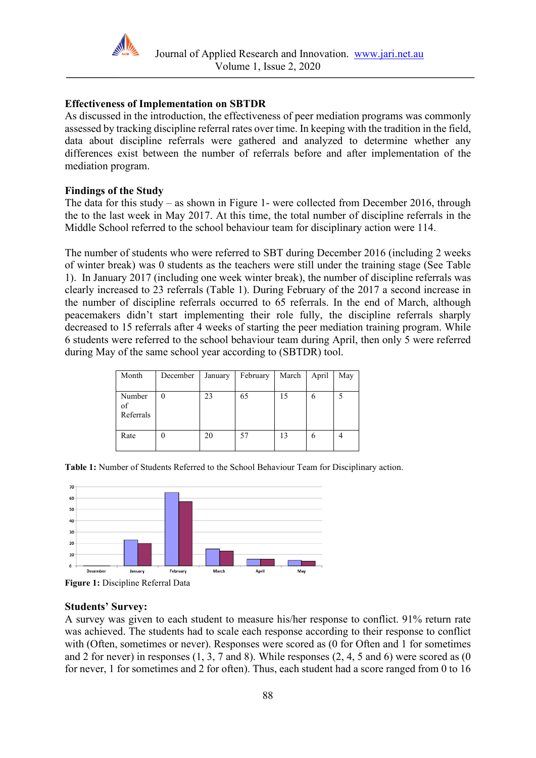

## **Effectiveness of Implementation on SBTDR**

As discussed in the introduction, the effectiveness of peer mediation programs was commonly assessed by tracking discipline referral rates over time. In keeping with the tradition in the field, data about discipline referrals were gathered and analyzed to determine whether any differences exist between the number of referrals before and after implementation of the mediation program.

#### **Findings of the Study**

The data for this study – as shown in Figure 1- were collected from December 2016, through the to the last week in May 2017. At this time, the total number of discipline referrals in the Middle School referred to the school behaviour team for disciplinary action were 114.

The number of students who were referred to SBT during December 2016 (including 2 weeks of winter break) was 0 students as the teachers were still under the training stage (See Table 1). In January 2017 (including one week winter break), the number of discipline referrals was clearly increased to 23 referrals (Table 1). During February of the 2017 a second increase in the number of discipline referrals occurred to 65 referrals. In the end of March, although peacemakers didn't start implementing their role fully, the discipline referrals sharply decreased to 15 referrals after 4 weeks of starting the peer mediation training program. While 6 students were referred to the school behaviour team during April, then only 5 were referred during May of the same school year according to (SBTDR) tool.

| Month                     | December | January | February | March | April | May |
|---------------------------|----------|---------|----------|-------|-------|-----|
| Number<br>of<br>Referrals |          | 23      | 65       | 15    |       |     |
| Rate                      |          | 20      |          | 13    |       |     |

**Table 1:** Number of Students Referred to the School Behaviour Team for Disciplinary action.



**Figure 1:** Discipline Referral Data

#### **Students' Survey:**

A survey was given to each student to measure his/her response to conflict. 91% return rate was achieved. The students had to scale each response according to their response to conflict with (Often, sometimes or never). Responses were scored as (0 for Often and 1 for sometimes and 2 for never) in responses (1, 3, 7 and 8). While responses (2, 4, 5 and 6) were scored as (0 for never, 1 for sometimes and 2 for often). Thus, each student had a score ranged from 0 to 16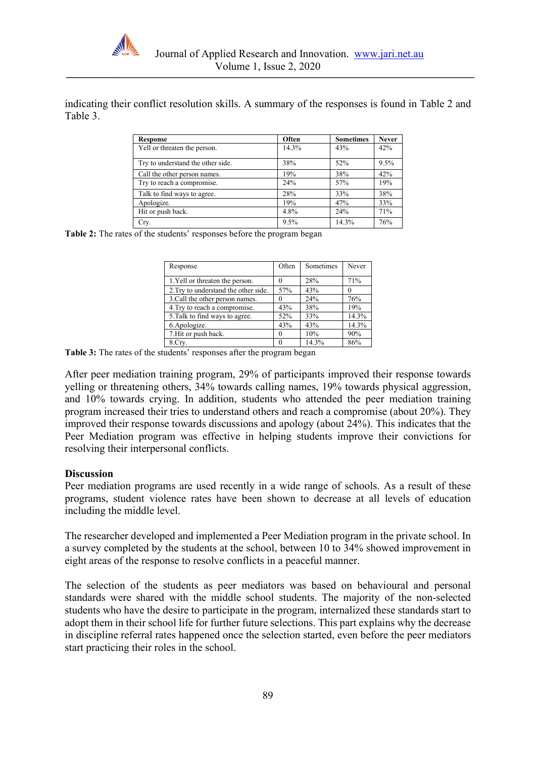

indicating their conflict resolution skills. A summary of the responses is found in Table 2 and Table 3.

| <b>Response</b>                   | Often | <b>Sometimes</b> | <b>Never</b> |
|-----------------------------------|-------|------------------|--------------|
| Yell or threaten the person.      | 14.3% | 43%              | 42%          |
| Try to understand the other side. | 38%   | 52%              | 9.5%         |
| Call the other person names.      | 19%   | 38%              | 42%          |
| Try to reach a compromise.        | 24%   | 57%              | 19%          |
| Talk to find ways to agree.       | 28%   | 33%              | 38%          |
| Apologize.                        | 19%   | 47%              | 33%          |
| Hit or push back.                 | 4.8%  | 24%              | 71%          |
| Cry.                              | 9.5%  | 14.3%            | 76%          |

Table 2: The rates of the students' responses before the program began

| Response                             | Often    | Sometimes | Never |
|--------------------------------------|----------|-----------|-------|
| 1. Yell or threaten the person.      |          | 28%       | 71%   |
| 2. Try to understand the other side. | 57%      | 43%       |       |
| 3. Call the other person names.      |          | 24%       | 76%   |
| 4. Try to reach a compromise.        | 43%      | 38%       | 19%   |
| 5. Talk to find ways to agree.       | 52%      | 33%       | 14.3% |
| 6.Apologize.                         | 43%      | 43%       | 14.3% |
| 7. Hit or push back.                 | $\Omega$ | 10%       | 90%   |
| 8.Cry.                               |          | 14.3%     | 86%   |

Table 3: The rates of the students' responses after the program began

After peer mediation training program, 29% of participants improved their response towards yelling or threatening others, 34% towards calling names, 19% towards physical aggression, and 10% towards crying. In addition, students who attended the peer mediation training program increased their tries to understand others and reach a compromise (about 20%). They improved their response towards discussions and apology (about 24%). This indicates that the Peer Mediation program was effective in helping students improve their convictions for resolving their interpersonal conflicts.

#### **Discussion**

Peer mediation programs are used recently in a wide range of schools. As a result of these programs, student violence rates have been shown to decrease at all levels of education including the middle level.

The researcher developed and implemented a Peer Mediation program in the private school. In a survey completed by the students at the school, between 10 to 34% showed improvement in eight areas of the response to resolve conflicts in a peaceful manner.

The selection of the students as peer mediators was based on behavioural and personal standards were shared with the middle school students. The majority of the non-selected students who have the desire to participate in the program, internalized these standards start to adopt them in their school life for further future selections. This part explains why the decrease in discipline referral rates happened once the selection started, even before the peer mediators start practicing their roles in the school.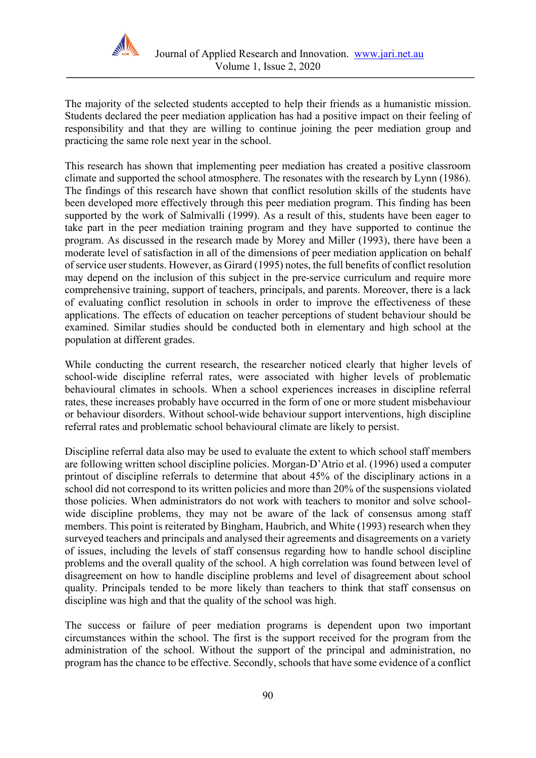

The majority of the selected students accepted to help their friends as a humanistic mission. Students declared the peer mediation application has had a positive impact on their feeling of responsibility and that they are willing to continue joining the peer mediation group and practicing the same role next year in the school.

This research has shown that implementing peer mediation has created a positive classroom climate and supported the school atmosphere. The resonates with the research by Lynn (1986). The findings of this research have shown that conflict resolution skills of the students have been developed more effectively through this peer mediation program. This finding has been supported by the work of Salmivalli (1999). As a result of this, students have been eager to take part in the peer mediation training program and they have supported to continue the program. As discussed in the research made by Morey and Miller (1993), there have been a moderate level of satisfaction in all of the dimensions of peer mediation application on behalf of service user students. However, as Girard (1995) notes, the full benefits of conflict resolution may depend on the inclusion of this subject in the pre-service curriculum and require more comprehensive training, support of teachers, principals, and parents. Moreover, there is a lack of evaluating conflict resolution in schools in order to improve the effectiveness of these applications. The effects of education on teacher perceptions of student behaviour should be examined. Similar studies should be conducted both in elementary and high school at the population at different grades.

While conducting the current research, the researcher noticed clearly that higher levels of school-wide discipline referral rates, were associated with higher levels of problematic behavioural climates in schools. When a school experiences increases in discipline referral rates, these increases probably have occurred in the form of one or more student misbehaviour or behaviour disorders. Without school-wide behaviour support interventions, high discipline referral rates and problematic school behavioural climate are likely to persist.

Discipline referral data also may be used to evaluate the extent to which school staff members are following written school discipline policies. Morgan-D'Atrio et al. (1996) used a computer printout of discipline referrals to determine that about 45% of the disciplinary actions in a school did not correspond to its written policies and more than 20% of the suspensions violated those policies. When administrators do not work with teachers to monitor and solve schoolwide discipline problems, they may not be aware of the lack of consensus among staff members. This point is reiterated by Bingham, Haubrich, and White (1993) research when they surveyed teachers and principals and analysed their agreements and disagreements on a variety of issues, including the levels of staff consensus regarding how to handle school discipline problems and the overall quality of the school. A high correlation was found between level of disagreement on how to handle discipline problems and level of disagreement about school quality. Principals tended to be more likely than teachers to think that staff consensus on discipline was high and that the quality of the school was high.

The success or failure of peer mediation programs is dependent upon two important circumstances within the school. The first is the support received for the program from the administration of the school. Without the support of the principal and administration, no program has the chance to be effective. Secondly, schools that have some evidence of a conflict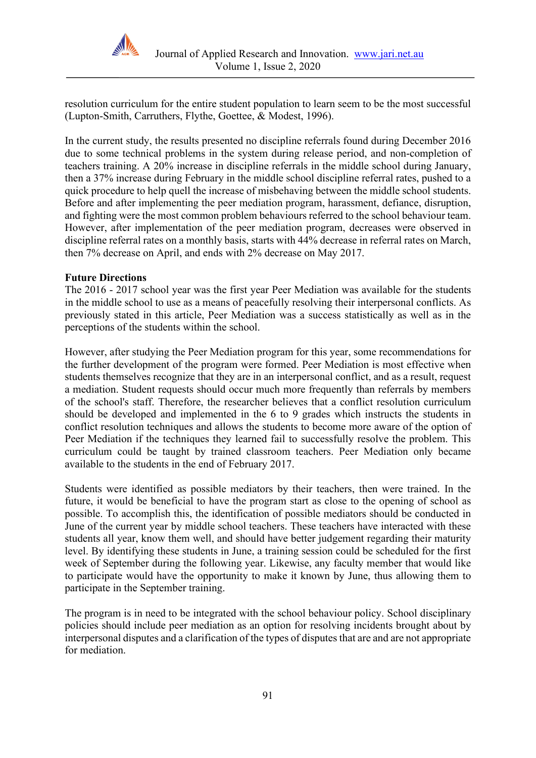

resolution curriculum for the entire student population to learn seem to be the most successful (Lupton-Smith, Carruthers, Flythe, Goettee, & Modest, 1996).

In the current study, the results presented no discipline referrals found during December 2016 due to some technical problems in the system during release period, and non-completion of teachers training. A 20% increase in discipline referrals in the middle school during January, then a 37% increase during February in the middle school discipline referral rates, pushed to a quick procedure to help quell the increase of misbehaving between the middle school students. Before and after implementing the peer mediation program, harassment, defiance, disruption, and fighting were the most common problem behaviours referred to the school behaviour team. However, after implementation of the peer mediation program, decreases were observed in discipline referral rates on a monthly basis, starts with 44% decrease in referral rates on March, then 7% decrease on April, and ends with 2% decrease on May 2017.

## **Future Directions**

The 2016 - 2017 school year was the first year Peer Mediation was available for the students in the middle school to use as a means of peacefully resolving their interpersonal conflicts. As previously stated in this article, Peer Mediation was a success statistically as well as in the perceptions of the students within the school.

However, after studying the Peer Mediation program for this year, some recommendations for the further development of the program were formed. Peer Mediation is most effective when students themselves recognize that they are in an interpersonal conflict, and as a result, request a mediation. Student requests should occur much more frequently than referrals by members of the school's staff. Therefore, the researcher believes that a conflict resolution curriculum should be developed and implemented in the 6 to 9 grades which instructs the students in conflict resolution techniques and allows the students to become more aware of the option of Peer Mediation if the techniques they learned fail to successfully resolve the problem. This curriculum could be taught by trained classroom teachers. Peer Mediation only became available to the students in the end of February 2017.

Students were identified as possible mediators by their teachers, then were trained. In the future, it would be beneficial to have the program start as close to the opening of school as possible. To accomplish this, the identification of possible mediators should be conducted in June of the current year by middle school teachers. These teachers have interacted with these students all year, know them well, and should have better judgement regarding their maturity level. By identifying these students in June, a training session could be scheduled for the first week of September during the following year. Likewise, any faculty member that would like to participate would have the opportunity to make it known by June, thus allowing them to participate in the September training.

The program is in need to be integrated with the school behaviour policy. School disciplinary policies should include peer mediation as an option for resolving incidents brought about by interpersonal disputes and a clarification of the types of disputes that are and are not appropriate for mediation.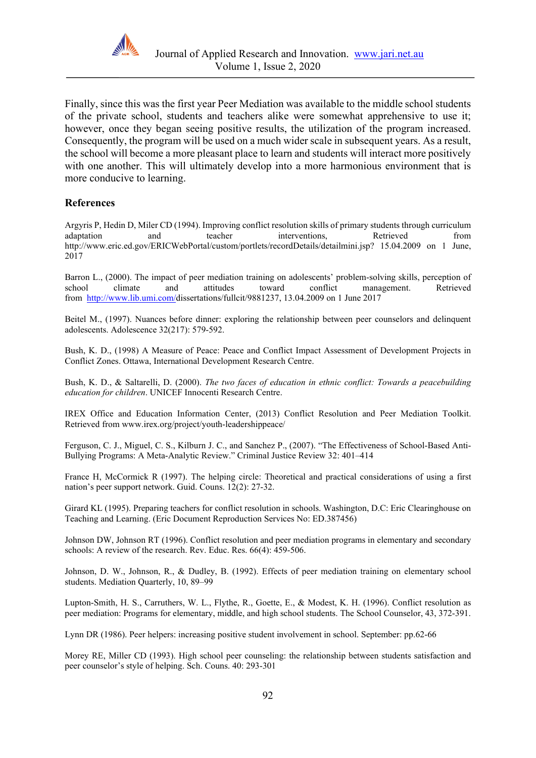

Finally, since this was the first year Peer Mediation was available to the middle school students of the private school, students and teachers alike were somewhat apprehensive to use it; however, once they began seeing positive results, the utilization of the program increased. Consequently, the program will be used on a much wider scale in subsequent years. As a result, the school will become a more pleasant place to learn and students will interact more positively with one another. This will ultimately develop into a more harmonious environment that is more conducive to learning.

#### **References**

Argyris P, Hedin D, Miler CD (1994). Improving conflict resolution skills of primary students through curriculum adaptation and teacher interventions, Retrieved from http://www.eric.ed.gov/ERICWebPortal/custom/portlets/recordDetails/detailmini.jsp? 15.04.2009 on 1 June, 2017

Barron L., (2000). The impact of peer mediation training on adolescents' problem-solving skills, perception of school climate and attitudes toward conflict management. Retrieved from [http://www.lib.umi.com/d](http://www.lib.umi.com/)issertations/fullcit/9881237, 13.04.2009 on 1 June 2017

Beitel M., (1997). Nuances before dinner: exploring the relationship between peer counselors and delinquent adolescents. Adolescence 32(217): 579-592.

Bush, K. D., (1998) A Measure of Peace: Peace and Conflict Impact Assessment of Development Projects in Conflict Zones. Ottawa, International Development Research Centre.

Bush, K. D., & Saltarelli, D. (2000). *The two faces of education in ethnic conflict: Towards a peacebuilding education for children*. UNICEF Innocenti Research Centre.

IREX Office and Education Information Center, (2013) Conflict Resolution and Peer Mediation Toolkit. Retrieved from www.irex.org/project/youth-leadershippeace/

Ferguson, C. J., Miguel, C. S., Kilburn J. C., and Sanchez P., (2007). "The Effectiveness of School-Based Anti-Bullying Programs: A Meta-Analytic Review." Criminal Justice Review 32: 401–414

France H, McCormick R (1997). The helping circle: Theoretical and practical considerations of using a first nation's peer support network. Guid. Couns. 12(2): 27-32.

Girard KL (1995). Preparing teachers for conflict resolution in schools. Washington, D.C: Eric Clearinghouse on Teaching and Learning. (Eric Document Reproduction Services No: ED.387456)

Johnson DW, Johnson RT (1996). Conflict resolution and peer mediation programs in elementary and secondary schools: A review of the research. Rev. Educ. Res. 66(4): 459-506.

Johnson, D. W., Johnson, R., & Dudley, B. (1992). Effects of peer mediation training on elementary school students. Mediation Quarterly, 10, 89–99

Lupton-Smith, H. S., Carruthers, W. L., Flythe, R., Goette, E., & Modest, K. H. (1996). Conflict resolution as peer mediation: Programs for elementary, middle, and high school students. The School Counselor, 43, 372-391.

Lynn DR (1986). Peer helpers: increasing positive student involvement in school. September: pp.62-66

Morey RE, Miller CD (1993). High school peer counseling: the relationship between students satisfaction and peer counselor's style of helping. Sch. Couns. 40: 293-301